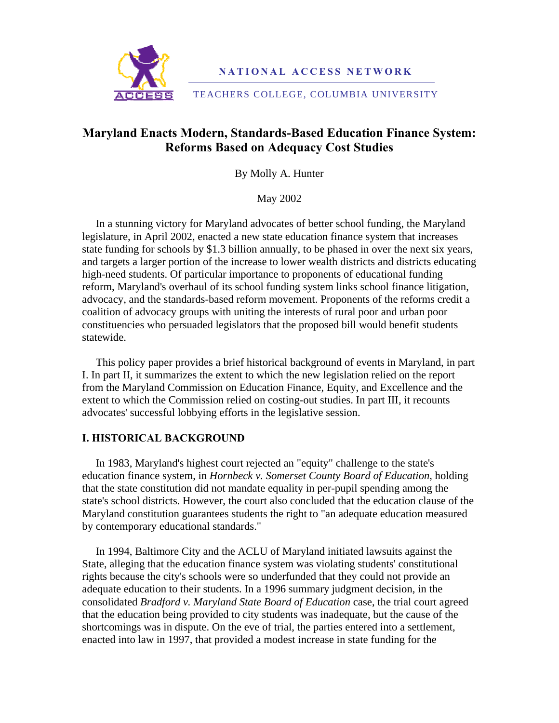

**NATIONAL ACCESS NETWORK** 

TEACHERS COLLEGE, COLUMBIA UNIVERSITY

# **Maryland Enacts Modern, Standards-Based Education Finance System: Reforms Based on Adequacy Cost Studies**

By Molly A. Hunter

May 2002

 In a stunning victory for Maryland advocates of better school funding, the Maryland legislature, in April 2002, enacted a new state education finance system that increases state funding for schools by \$1.3 billion annually, to be phased in over the next six years, and targets a larger portion of the increase to lower wealth districts and districts educating high-need students. Of particular importance to proponents of educational funding reform, Maryland's overhaul of its school funding system links school finance litigation, advocacy, and the standards-based reform movement. Proponents of the reforms credit a coalition of advocacy groups with uniting the interests of rural poor and urban poor constituencies who persuaded legislators that the proposed bill would benefit students statewide.

 This policy paper provides a brief historical background of events in Maryland, in part I. In part II, it summarizes the extent to which the new legislation relied on the report from the Maryland Commission on Education Finance, Equity, and Excellence and the extent to which the Commission relied on costing-out studies. In part III, it recounts advocates' successful lobbying efforts in the legislative session.

# **I. HISTORICAL BACKGROUND**

 In 1983, Maryland's highest court rejected an "equity" challenge to the state's education finance system, in *Hornbeck v. Somerset County Board of Education*, holding that the state constitution did not mandate equality in per-pupil spending among the state's school districts. However, the court also concluded that the education clause of the Maryland constitution guarantees students the right to "an adequate education measured by contemporary educational standards."

 In 1994, Baltimore City and the ACLU of Maryland initiated lawsuits against the State, alleging that the education finance system was violating students' constitutional rights because the city's schools were so underfunded that they could not provide an adequate education to their students. In a 1996 summary judgment decision, in the consolidated *Bradford v. Maryland State Board of Education* case, the trial court agreed that the education being provided to city students was inadequate, but the cause of the shortcomings was in dispute. On the eve of trial, the parties entered into a settlement, enacted into law in 1997, that provided a modest increase in state funding for the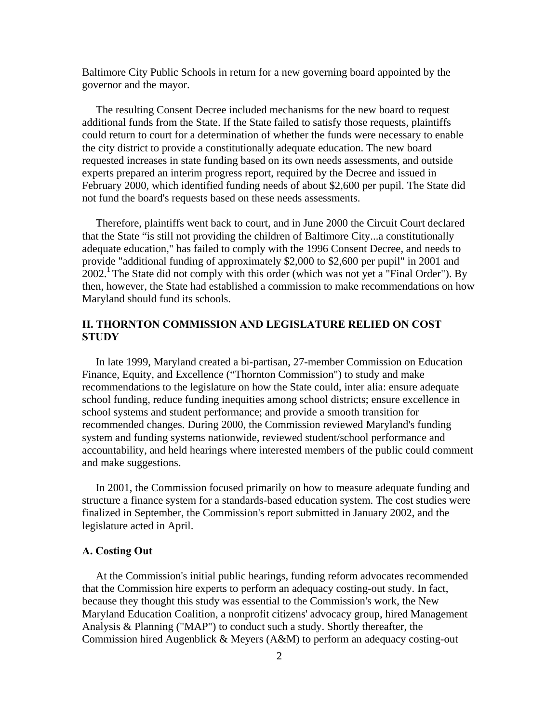Baltimore City Public Schools in return for a new governing board appointed by the governor and the mayor.

 The resulting Consent Decree included mechanisms for the new board to request additional funds from the State. If the State failed to satisfy those requests, plaintiffs could return to court for a determination of whether the funds were necessary to enable the city district to provide a constitutionally adequate education. The new board requested increases in state funding based on its own needs assessments, and outside experts prepared an interim progress report, required by the Decree and issued in February 2000, which identified funding needs of about \$2,600 per pupil. The State did not fund the board's requests based on these needs assessments.

 Therefore, plaintiffs went back to court, and in June 2000 the Circuit Court declared that the State "is still not providing the children of Baltimore City...a constitutionally adequate education," has failed to comply with the 1996 Consent Decree, and needs to provide "additional funding of approximately \$2,000 to \$2,600 per pupil" in 2001 and  $2002<sup>1</sup>$  The State did not comply with this order (which was not yet a "Final Order"). By then, however, the State had established a commission to make recommendations on how Maryland should fund its schools.

# **II. THORNTON COMMISSION AND LEGISLATURE RELIED ON COST STUDY**

 In late 1999, Maryland created a bi-partisan, 27-member Commission on Education Finance, Equity, and Excellence ("Thornton Commission") to study and make recommendations to the legislature on how the State could, inter alia: ensure adequate school funding, reduce funding inequities among school districts; ensure excellence in school systems and student performance; and provide a smooth transition for recommended changes. During 2000, the Commission reviewed Maryland's funding system and funding systems nationwide, reviewed student/school performance and accountability, and held hearings where interested members of the public could comment and make suggestions.

 In 2001, the Commission focused primarily on how to measure adequate funding and structure a finance system for a standards-based education system. The cost studies were finalized in September, the Commission's report submitted in January 2002, and the legislature acted in April.

#### **A. Costing Out**

 At the Commission's initial public hearings, funding reform advocates recommended that the Commission hire experts to perform an adequacy costing-out study. In fact, because they thought this study was essential to the Commission's work, the New Maryland Education Coalition, a nonprofit citizens' advocacy group, hired Management Analysis & Planning ("MAP") to conduct such a study. Shortly thereafter, the Commission hired Augenblick & Meyers (A&M) to perform an adequacy costing-out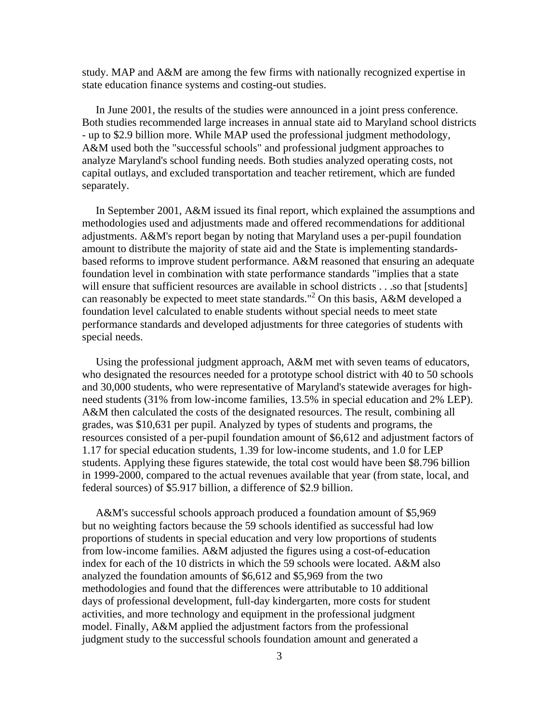study. MAP and A&M are among the few firms with nationally recognized expertise in state education finance systems and costing-out studies.

 In June 2001, the results of the studies were announced in a joint press conference. Both studies recommended large increases in annual state aid to Maryland school districts - up to \$2.9 billion more. While MAP used the professional judgment methodology, A&M used both the "successful schools" and professional judgment approaches to analyze Maryland's school funding needs. Both studies analyzed operating costs, not capital outlays, and excluded transportation and teacher retirement, which are funded separately.

 In September 2001, A&M issued its final report, which explained the assumptions and methodologies used and adjustments made and offered recommendations for additional adjustments. A&M's report began by noting that Maryland uses a per-pupil foundation amount to distribute the majority of state aid and the State is implementing standardsbased reforms to improve student performance. A&M reasoned that ensuring an adequate foundation level in combination with state performance standards "implies that a state will ensure that sufficient resources are available in school districts . . .so that [students] can reasonably be expected to meet state standards."<sup>2</sup> On this basis, A&M developed a foundation level calculated to enable students without special needs to meet state performance standards and developed adjustments for three categories of students with special needs.

 Using the professional judgment approach, A&M met with seven teams of educators, who designated the resources needed for a prototype school district with 40 to 50 schools and 30,000 students, who were representative of Maryland's statewide averages for highneed students (31% from low-income families, 13.5% in special education and 2% LEP). A&M then calculated the costs of the designated resources. The result, combining all grades, was \$10,631 per pupil. Analyzed by types of students and programs, the resources consisted of a per-pupil foundation amount of \$6,612 and adjustment factors of 1.17 for special education students, 1.39 for low-income students, and 1.0 for LEP students. Applying these figures statewide, the total cost would have been \$8.796 billion in 1999-2000, compared to the actual revenues available that year (from state, local, and federal sources) of \$5.917 billion, a difference of \$2.9 billion.

 A&M's successful schools approach produced a foundation amount of \$5,969 but no weighting factors because the 59 schools identified as successful had low proportions of students in special education and very low proportions of students from low-income families. A&M adjusted the figures using a cost-of-education index for each of the 10 districts in which the 59 schools were located. A&M also analyzed the foundation amounts of \$6,612 and \$5,969 from the two methodologies and found that the differences were attributable to 10 additional days of professional development, full-day kindergarten, more costs for student activities, and more technology and equipment in the professional judgment model. Finally, A&M applied the adjustment factors from the professional judgment study to the successful schools foundation amount and generated a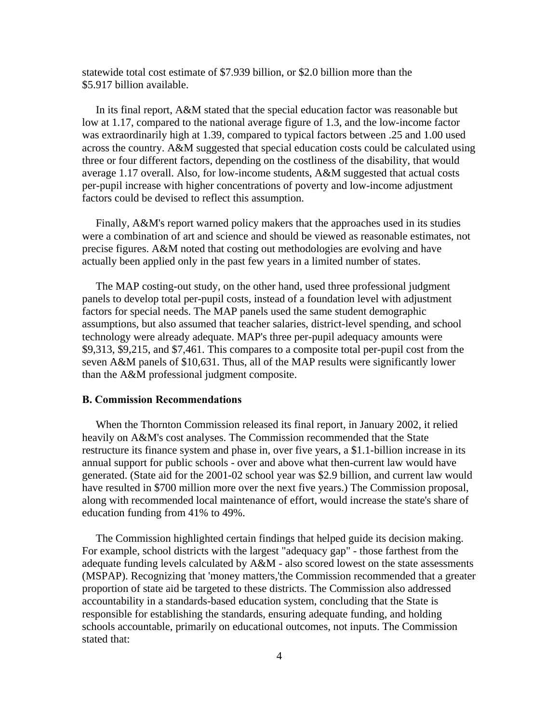statewide total cost estimate of \$7.939 billion, or \$2.0 billion more than the \$5.917 billion available.

 In its final report, A&M stated that the special education factor was reasonable but low at 1.17, compared to the national average figure of 1.3, and the low-income factor was extraordinarily high at 1.39, compared to typical factors between .25 and 1.00 used across the country. A&M suggested that special education costs could be calculated using three or four different factors, depending on the costliness of the disability, that would average 1.17 overall. Also, for low-income students, A&M suggested that actual costs per-pupil increase with higher concentrations of poverty and low-income adjustment factors could be devised to reflect this assumption.

 Finally, A&M's report warned policy makers that the approaches used in its studies were a combination of art and science and should be viewed as reasonable estimates, not precise figures. A&M noted that costing out methodologies are evolving and have actually been applied only in the past few years in a limited number of states.

 The MAP costing-out study, on the other hand, used three professional judgment panels to develop total per-pupil costs, instead of a foundation level with adjustment factors for special needs. The MAP panels used the same student demographic assumptions, but also assumed that teacher salaries, district-level spending, and school technology were already adequate. MAP's three per-pupil adequacy amounts were \$9,313, \$9,215, and \$7,461. This compares to a composite total per-pupil cost from the seven A&M panels of \$10,631. Thus, all of the MAP results were significantly lower than the A&M professional judgment composite.

#### **B. Commission Recommendations**

 When the Thornton Commission released its final report, in January 2002, it relied heavily on A&M's cost analyses. The Commission recommended that the State restructure its finance system and phase in, over five years, a \$1.1-billion increase in its annual support for public schools - over and above what then-current law would have generated. (State aid for the 2001-02 school year was \$2.9 billion, and current law would have resulted in \$700 million more over the next five years.) The Commission proposal, along with recommended local maintenance of effort, would increase the state's share of education funding from 41% to 49%.

 The Commission highlighted certain findings that helped guide its decision making. For example, school districts with the largest "adequacy gap" - those farthest from the adequate funding levels calculated by A&M - also scored lowest on the state assessments (MSPAP). Recognizing that 'money matters,'the Commission recommended that a greater proportion of state aid be targeted to these districts. The Commission also addressed accountability in a standards-based education system, concluding that the State is responsible for establishing the standards, ensuring adequate funding, and holding schools accountable, primarily on educational outcomes, not inputs. The Commission stated that: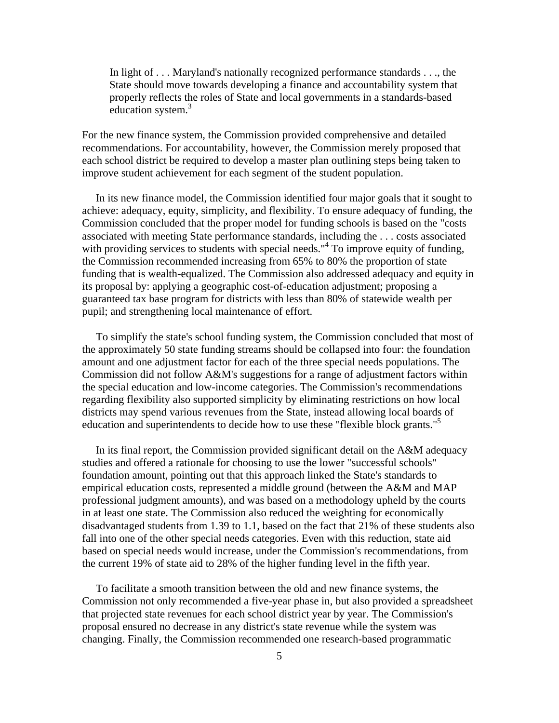In light of . . . Maryland's nationally recognized performance standards . . ., the State should move towards developing a finance and accountability system that properly reflects the roles of State and local governments in a standards-based education system.<sup>3</sup>

For the new finance system, the Commission provided comprehensive and detailed recommendations. For accountability, however, the Commission merely proposed that each school district be required to develop a master plan outlining steps being taken to improve student achievement for each segment of the student population.

 In its new finance model, the Commission identified four major goals that it sought to achieve: adequacy, equity, simplicity, and flexibility. To ensure adequacy of funding, the Commission concluded that the proper model for funding schools is based on the "costs associated with meeting State performance standards, including the . . . costs associated with providing services to students with special needs."<sup>4</sup> To improve equity of funding, the Commission recommended increasing from 65% to 80% the proportion of state funding that is wealth-equalized. The Commission also addressed adequacy and equity in its proposal by: applying a geographic cost-of-education adjustment; proposing a guaranteed tax base program for districts with less than 80% of statewide wealth per pupil; and strengthening local maintenance of effort.

 To simplify the state's school funding system, the Commission concluded that most of the approximately 50 state funding streams should be collapsed into four: the foundation amount and one adjustment factor for each of the three special needs populations. The Commission did not follow A&M's suggestions for a range of adjustment factors within the special education and low-income categories. The Commission's recommendations regarding flexibility also supported simplicity by eliminating restrictions on how local districts may spend various revenues from the State, instead allowing local boards of education and superintendents to decide how to use these "flexible block grants."<sup>5</sup>

 In its final report, the Commission provided significant detail on the A&M adequacy studies and offered a rationale for choosing to use the lower "successful schools" foundation amount, pointing out that this approach linked the State's standards to empirical education costs, represented a middle ground (between the A&M and MAP professional judgment amounts), and was based on a methodology upheld by the courts in at least one state. The Commission also reduced the weighting for economically disadvantaged students from 1.39 to 1.1, based on the fact that 21% of these students also fall into one of the other special needs categories. Even with this reduction, state aid based on special needs would increase, under the Commission's recommendations, from the current 19% of state aid to 28% of the higher funding level in the fifth year.

 To facilitate a smooth transition between the old and new finance systems, the Commission not only recommended a five-year phase in, but also provided a spreadsheet that projected state revenues for each school district year by year. The Commission's proposal ensured no decrease in any district's state revenue while the system was changing. Finally, the Commission recommended one research-based programmatic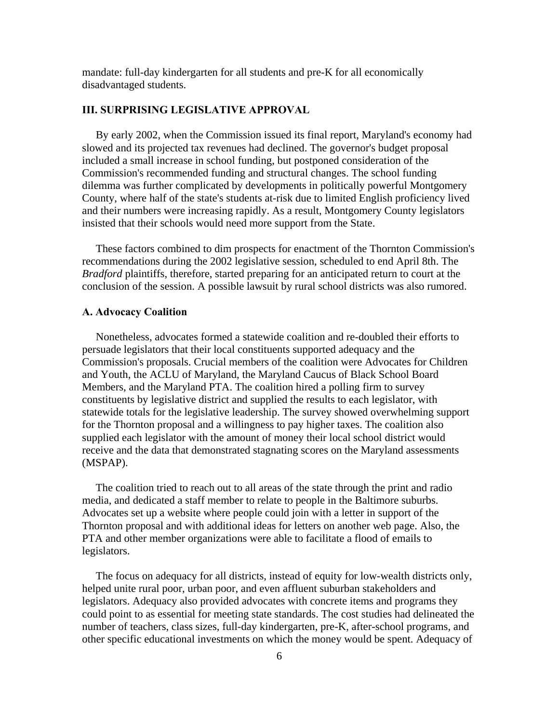mandate: full-day kindergarten for all students and pre-K for all economically disadvantaged students.

### **III. SURPRISING LEGISLATIVE APPROVAL**

 By early 2002, when the Commission issued its final report, Maryland's economy had slowed and its projected tax revenues had declined. The governor's budget proposal included a small increase in school funding, but postponed consideration of the Commission's recommended funding and structural changes. The school funding dilemma was further complicated by developments in politically powerful Montgomery County, where half of the state's students at-risk due to limited English proficiency lived and their numbers were increasing rapidly. As a result, Montgomery County legislators insisted that their schools would need more support from the State.

 These factors combined to dim prospects for enactment of the Thornton Commission's recommendations during the 2002 legislative session, scheduled to end April 8th. The *Bradford* plaintiffs, therefore, started preparing for an anticipated return to court at the conclusion of the session. A possible lawsuit by rural school districts was also rumored.

## **A. Advocacy Coalition**

 Nonetheless, advocates formed a statewide coalition and re-doubled their efforts to persuade legislators that their local constituents supported adequacy and the Commission's proposals. Crucial members of the coalition were Advocates for Children and Youth, the ACLU of Maryland, the Maryland Caucus of Black School Board Members, and the Maryland PTA. The coalition hired a polling firm to survey constituents by legislative district and supplied the results to each legislator, with statewide totals for the legislative leadership. The survey showed overwhelming support for the Thornton proposal and a willingness to pay higher taxes. The coalition also supplied each legislator with the amount of money their local school district would receive and the data that demonstrated stagnating scores on the Maryland assessments (MSPAP).

 The coalition tried to reach out to all areas of the state through the print and radio media, and dedicated a staff member to relate to people in the Baltimore suburbs. Advocates set up a website where people could join with a letter in support of the Thornton proposal and with additional ideas for letters on another web page. Also, the PTA and other member organizations were able to facilitate a flood of emails to legislators.

 The focus on adequacy for all districts, instead of equity for low-wealth districts only, helped unite rural poor, urban poor, and even affluent suburban stakeholders and legislators. Adequacy also provided advocates with concrete items and programs they could point to as essential for meeting state standards. The cost studies had delineated the number of teachers, class sizes, full-day kindergarten, pre-K, after-school programs, and other specific educational investments on which the money would be spent. Adequacy of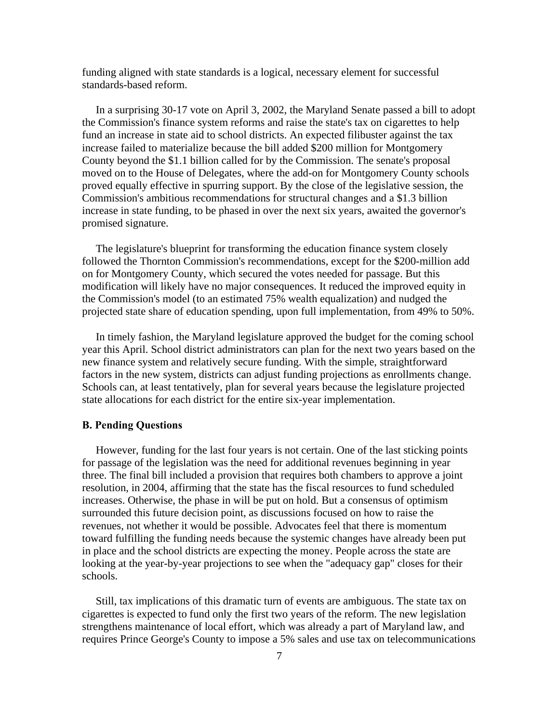funding aligned with state standards is a logical, necessary element for successful standards-based reform.

 In a surprising 30-17 vote on April 3, 2002, the Maryland Senate passed a bill to adopt the Commission's finance system reforms and raise the state's tax on cigarettes to help fund an increase in state aid to school districts. An expected filibuster against the tax increase failed to materialize because the bill added \$200 million for Montgomery County beyond the \$1.1 billion called for by the Commission. The senate's proposal moved on to the House of Delegates, where the add-on for Montgomery County schools proved equally effective in spurring support. By the close of the legislative session, the Commission's ambitious recommendations for structural changes and a \$1.3 billion increase in state funding, to be phased in over the next six years, awaited the governor's promised signature.

 The legislature's blueprint for transforming the education finance system closely followed the Thornton Commission's recommendations, except for the \$200-million add on for Montgomery County, which secured the votes needed for passage. But this modification will likely have no major consequences. It reduced the improved equity in the Commission's model (to an estimated 75% wealth equalization) and nudged the projected state share of education spending, upon full implementation, from 49% to 50%.

 In timely fashion, the Maryland legislature approved the budget for the coming school year this April. School district administrators can plan for the next two years based on the new finance system and relatively secure funding. With the simple, straightforward factors in the new system, districts can adjust funding projections as enrollments change. Schools can, at least tentatively, plan for several years because the legislature projected state allocations for each district for the entire six-year implementation.

#### **B. Pending Questions**

 However, funding for the last four years is not certain. One of the last sticking points for passage of the legislation was the need for additional revenues beginning in year three. The final bill included a provision that requires both chambers to approve a joint resolution, in 2004, affirming that the state has the fiscal resources to fund scheduled increases. Otherwise, the phase in will be put on hold. But a consensus of optimism surrounded this future decision point, as discussions focused on how to raise the revenues, not whether it would be possible. Advocates feel that there is momentum toward fulfilling the funding needs because the systemic changes have already been put in place and the school districts are expecting the money. People across the state are looking at the year-by-year projections to see when the "adequacy gap" closes for their schools.

 Still, tax implications of this dramatic turn of events are ambiguous. The state tax on cigarettes is expected to fund only the first two years of the reform. The new legislation strengthens maintenance of local effort, which was already a part of Maryland law, and requires Prince George's County to impose a 5% sales and use tax on telecommunications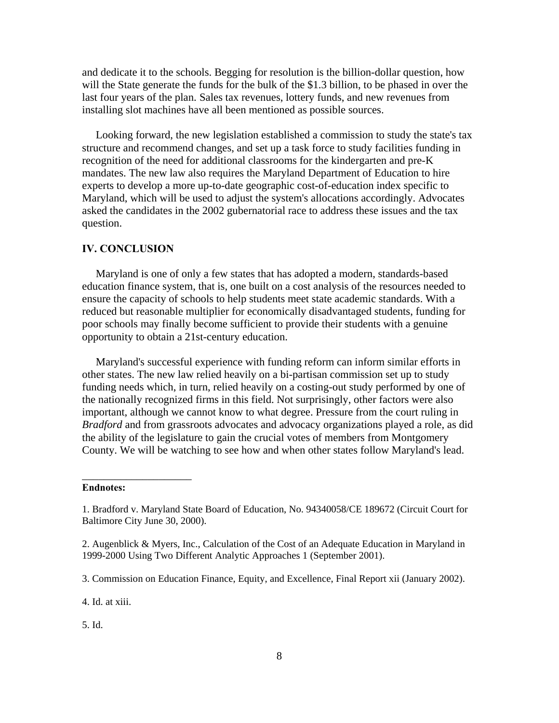and dedicate it to the schools. Begging for resolution is the billion-dollar question, how will the State generate the funds for the bulk of the \$1.3 billion, to be phased in over the last four years of the plan. Sales tax revenues, lottery funds, and new revenues from installing slot machines have all been mentioned as possible sources.

 Looking forward, the new legislation established a commission to study the state's tax structure and recommend changes, and set up a task force to study facilities funding in recognition of the need for additional classrooms for the kindergarten and pre-K mandates. The new law also requires the Maryland Department of Education to hire experts to develop a more up-to-date geographic cost-of-education index specific to Maryland, which will be used to adjust the system's allocations accordingly. Advocates asked the candidates in the 2002 gubernatorial race to address these issues and the tax question.

## **IV. CONCLUSION**

 Maryland is one of only a few states that has adopted a modern, standards-based education finance system, that is, one built on a cost analysis of the resources needed to ensure the capacity of schools to help students meet state academic standards. With a reduced but reasonable multiplier for economically disadvantaged students, funding for poor schools may finally become sufficient to provide their students with a genuine opportunity to obtain a 21st-century education.

 Maryland's successful experience with funding reform can inform similar efforts in other states. The new law relied heavily on a bi-partisan commission set up to study funding needs which, in turn, relied heavily on a costing-out study performed by one of the nationally recognized firms in this field. Not surprisingly, other factors were also important, although we cannot know to what degree. Pressure from the court ruling in *Bradford* and from grassroots advocates and advocacy organizations played a role, as did the ability of the legislature to gain the crucial votes of members from Montgomery County. We will be watching to see how and when other states follow Maryland's lead.

#### **Endnotes:**

\_\_\_\_\_\_\_\_\_\_\_\_\_\_\_\_\_\_\_\_

5. Id.

<sup>1.</sup> Bradford v. Maryland State Board of Education, No. 94340058/CE 189672 (Circuit Court for Baltimore City June 30, 2000).

<sup>2.</sup> Augenblick & Myers, Inc., Calculation of the Cost of an Adequate Education in Maryland in 1999-2000 Using Two Different Analytic Approaches 1 (September 2001).

<sup>3.</sup> Commission on Education Finance, Equity, and Excellence, Final Report xii (January 2002).

<sup>4.</sup> Id. at xiii.